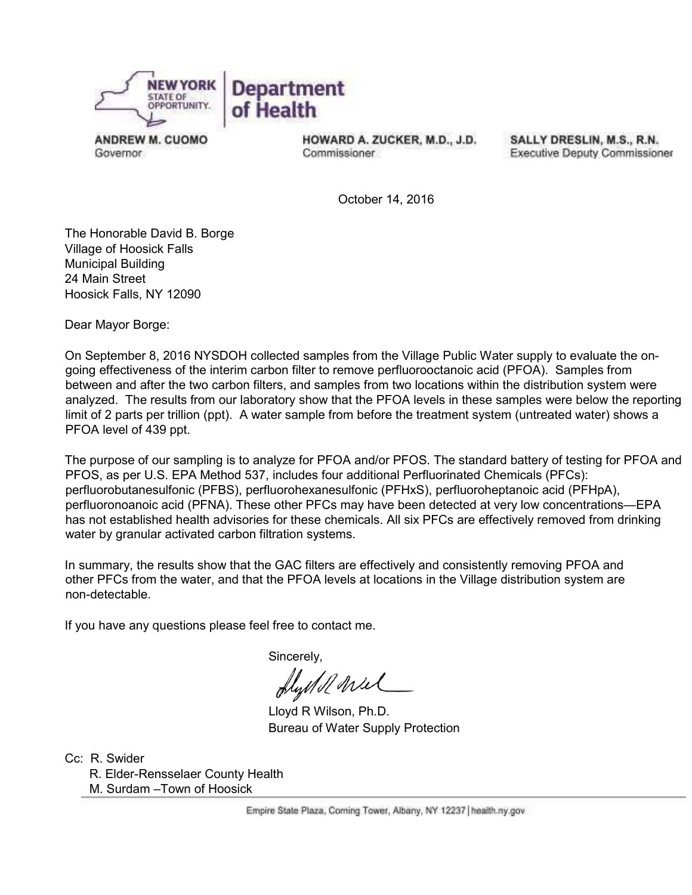

**ANDREW M. CUOMO** Governor.

HOWARD A. ZUCKER, M.D., J.D. Commissioner

SALLY DRESLIN, M.S., R.N. **Executive Deputy Commissioner** 

October 14, 2016

The Honorable David B. Borge Village of Hoosick Falls Municipal Building 24 Main Street Hoosick Falls, NY 12090

Dear Mayor Borge:

On September 8, 2016 NYSDOH collected samples from the Village Public Water supply to evaluate the ongoing effectiveness of the interim carbon filter to remove perfluorooctanoic acid (PFOA). Samples from between and after the two carbon filters, and samples from two locations within the distribution system were analyzed. The results from our laboratory show that the PFOA levels in these samples were below the reporting limit of 2 parts per trillion (ppt). A water sample from before the treatment system (untreated water) shows a PFOA level of 439 ppt.

The purpose of our sampling is to analyze for PFOA and/or PFOS. The standard battery of testing for PFOA and PFOS, as per U.S. EPA Method 537, includes four additional Perfluorinated Chemicals (PFCs): perfluorobutanesulfonic (PFBS), perfluorohexanesulfonic (PFHxS), perfluoroheptanoic acid (PFHpA), perfluoronoanoic acid (PFNA). These other PFCs may have been detected at very low concentrations—EPA has not established health advisories for these chemicals. All six PFCs are effectively removed from drinking water by granular activated carbon filtration systems.

In summary, the results show that the GAC filters are effectively and consistently removing PFOA and other PFCs from the water, and that the PFOA levels at locations in the Village distribution system are non-detectable.

If you have any questions please feel free to contact me.

Sincerely,

flystell wiel

 Lloyd R Wilson, Ph.D. Bureau of Water Supply Protection

Cc: R. Swider R. Elder-Rensselaer County Health M. Surdam –Town of Hoosick